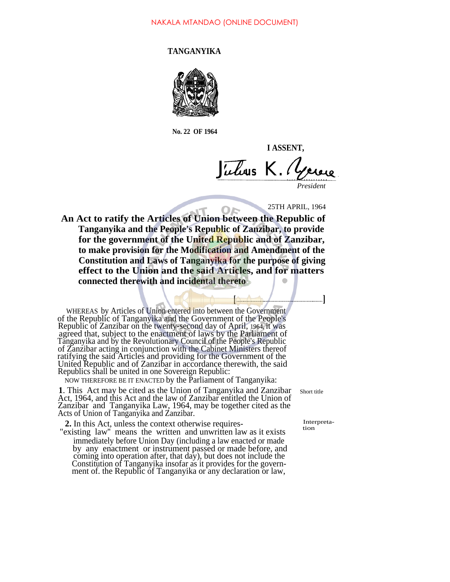# **TANGANYIKA**



**No. 22 OF 1964**

**I ASSENT,**

*J us K.*

**[ ]**

*President*

.

25TH APRIL, 1964

**An Act to ratify the Articles of Union between the Republic of Tanganyika and the People's Republic of Zanzibar, to provide for the government of the United Republic and of Zanzibar, to make provision for the Modification and Amendment of the Constitution and Laws of Tanganyika for the purpose of giving effect to the Union and the said Articles, and for matters connected therewith and incidental thereto**

WHEREAS by Articles of Union entered into between the Government of the Republic of Tanganyika and the Government of the People's Republic of Zanzibar on the twenty-second day of April, 1964, it was agreed that, subject to the enactment of laws by the Parliament of Tanganyika and by the Revolutionary Council of the People's Republic of Zanzibar acting in conjunction with the Cabinet Ministers thereof ratifying the said Articles and providing for the Government of the United Republic and of Zanzibar in accordance therewith, the said Republics shall be united in one Sovereign Republic:

NOW THEREFORE BE IT ENACTED by the Parliament of Tanganyika:

**1**. This Act may be cited as the Union of Tanganyika and Zanzibar Act, 1964, and this Act and the law of Zanzibar entitled the Union of Zanzibar and Tanganyika Law, 1964, may be together cited as the Acts of Union of Tanganyika and Zanzibar.

**2.** In this Act, unless the context otherwise requires-<br>"existing law" means the written and unwritten law as it exists tion immediately before Union Day (including a law enacted or made by any enactment or instrument passed or made before, and coming into operation after, that day), but does not include the Constitution of Tanganyika insofar as it provides for the government of. the Republic of Tanganyika or any declaration or law,

Short title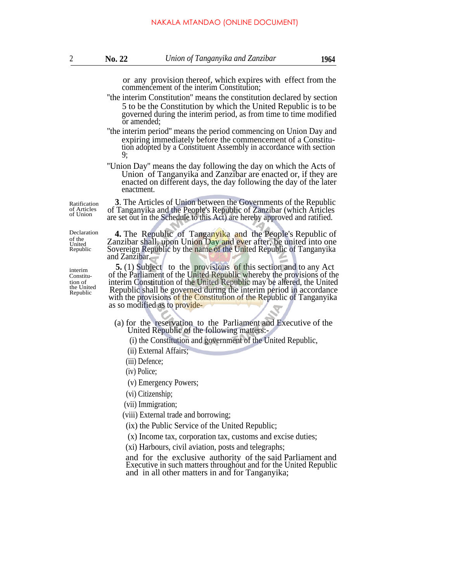or any provision thereof, which expires with effect from the commencement of the interim Constitution;

- ''the interim Constitution'' means the constitution declared by section 5 to be the Constitution by which the United Republic is to be governed during the interim period, as from time to time modified or amended;
- ''the interim period'' means the period commencing on Union Day and expiring immediately before the commencement of a Constitution adopted by a Constituent Assembly in accordance with section 9;
- ''Union Day'' means the day following the day on which the Acts of Union of Tanganyika and Zanzibar are enacted or, if they are enacted on different days, the day following the day of the later enactment.

**3**. The Articles of Union between the Governments of the Republic of Tanganyika and the People's Republic of Zanzibar (which Articles are set out in the Schedule to this Act) are hereby approved and ratified.

Declaration of the Republic

Ratification of Articles of Union

interim Constitution of the United Republic

**4.** The Republic of Tanganyika and the People's Republic of Zanzibar shall, upon Union Day and ever after, be united into one Sovereign Republic by the name of the United Republic of Tanganyika and Zanzibar.

**5.** (1) Subject to the provisions of this section and to any Act of the Parliament of the United Republic whereby the provisions of the interim Constitution of the United Republic may be altered, the United Republic shall be governed during the interim period in accordance with the provisions of the Constitution of the Republic of Tanganyika as so modified as to provide-

- (a) for the reservation to the Parliament and Executive of the United Republic of the following matters:-
	- (i) the Constitution and government of the United Republic,
	- (ii) External Affairs;
	- (iii) Defence;
	- (iv) Police;
	- (v) Emergency Powers;
	- (vi) Citizenship;
	- (vii) Immigration;

(viii) External trade and borrowing;

- (ix) the Public Service of the United Republic;
- (x) Income tax, corporation tax, customs and excise duties;
- (xi) Harbours, civil aviation, posts and telegraphs;

and for the exclusive authority of the said Parliament and Executive in such matters throughout and for the United Republic and in all other matters in and for Tanganyika;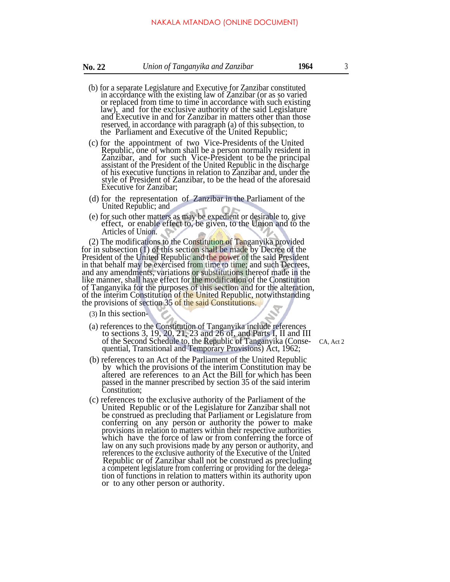- (b) for a separate Legislature and Executive for Zanzibar constituted in accordance with the existing law of Zanzibar (or as so varied or replaced from time to time in accordance with such existing law), and for the exclusive authority of the said Legislature and Executive in and for Zanzibar in matters other than those reserved, in accordance with paragraph (a) of this subsection, to the Parliament and Executive of the United Republic;
- (c) for the appointment of two Vice-Presidents of the United Republic, one of whom shall be a person normally resident in Zanzibar, and for such Vice-President to be the principal assistant of the President of the United Republic in the discharge of his executive functions in relation to Zanzibar and, under the style of President of Zanzibar, to be the head of the aforesaid Executive for Zanzibar;
- (d) for the representation of Zanzibar in the Parliament of the United Republic; and
- (e) for such other matters as may be expedient or desirable to, give effect, or enable effect to, be given, to the Union and to the Articles of Union.

(2) The modifications to the Constitution of Tanganyika provided for in subsection (1) of this section shall be made by Decree of the President of the United Republic and the power of the said President in that behalf may be exercised from time to time; and such Decrees, and any amendments, variations or substitutions thereof made in the like manner, shall have effect for the modification of the Constitution of Tanganyika for the purposes of this section and for the alteration, of the interim Constitution of the United Republic, notwithstanding the provisions of section 35 of the said Constitutions.

- (3) In this section-
- (a) references to the Constitution of Tanganyika include references to sections 3, 19, 20, 21, 23 and 26 of, and Parts I, II and III of the Second Schedule to, the Republic of Tanganyika (Conse- CA, Act 2 quential, Transitional and Temporary Provisions) Act, 1962;
- (b) references to an Act of the Parliament of the United Republic by which the provisions of the interim Constitution may be altered are references to an Act the Bill for which has been passed in the manner prescribed by section 35 of the said interim Constitution;
- (c) references to the exclusive authority of the Parliament of the United Republic or of the Legislature for Zanzibar shall not be construed as precluding that Parliament or Legislature from conferring on any person or authority the power to make provisions in relation to matters within their respective authorities which have the force of law or from conferring the force of law on any such provisions made by any person or authority, and references to the exclusive authority of the Executive of the United Republic or of Zanzibar shall not be construed as precluding a competent legislature from conferring or providing for the delegation of functions in relation to matters within its authority upon or to any other person or authority.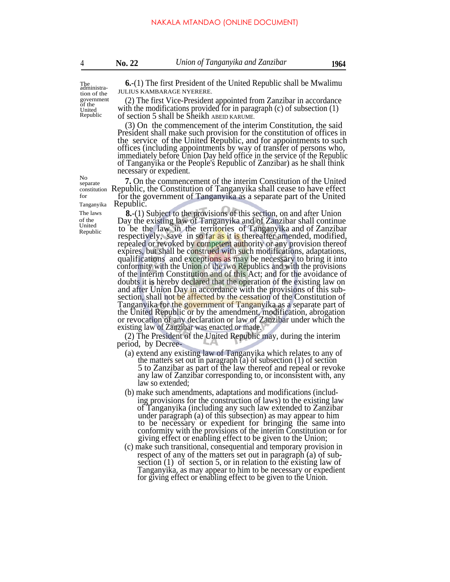The administration of the United<br>Republic

**6.**-(1) The first President of the United Republic shall be Mwalimu JULIUS KAMBARAGE NYERERE.

government (2) The first Vice-President appointed from Zanzibar in accordance with the modifications provided for in paragraph  $(c)$  of subsection  $(1)$ of section 5 shall be Sheikh ABEID KARUME.

> (3) On the commencement of the interim Constitution, the said President shall make such provision for the constitution of offices in the service of the United Republic, and for appointments to such offices (including appointments by way of transfer of persons who, immediately before Union Day held office in the service of the Republic of Tanganyika or the People's Republic of Zanzibar) as he shall think necessary or expedient.

<sup>No</sup><br>separate **7.** On the commencement of the interim Constitution of the United constitution Republic, the Constitution of Tanganyika shall cease to have effect for the government of Tanganyika as a separate part of the United Tanganyika Republic.

> **8.**-(1) Subject to the provisions of this section, on and after Union Day the existing law of Tanganyika and of Zanzibar shall continue to be the law in the territories of Tanganyika and of Zanzibar respectively, save in so far as it is thereafter amended, modified, repealed or revoked by competent authority or any provision thereof expires, but shall be construed with such modifications, adaptations, qualifications and exceptions as may be necessary to bring it into conformity with the Union of the two Republics and with the provisions of the interim Constitution and of this Act; and for the avoidance of doubts it is hereby declared that the operation of the existing law on and after Union Day in accordance with the provisions of this subsection, shall not be affected by the cessation of the Constitution of Tanganyika for the government of Tanganyika as a separate part of the United Republic or by the amendment, modification, abrogation or revocation of any declaration or law of Zanzibar under which the existing law of Zanzibar was enacted or made.

(2) The President of the United Republic may, during the interim period, by Decree-

- (a) extend any existing law of Tanganyika which relates to any of the matters set out in paragraph  $(a)$  of subsection  $(1)$  of section 5 to Zanzibar as part of the law thereof and repeal or revoke any law of Zanzibar corresponding to, or inconsistent with, any law so extended;
- (b) make such amendments, adaptations and modifications (including provisions for the construction of laws) to the existing law of Tanganyika (including any such law extended to Zanzibar under paragraph (a) of this subsection) as may appear to him to be necessary or expedient for bringing the same into conformity with the provisions of the interim Constitution or for giving effect or enabling effect to be given to the Union;
- (c) make such transitional, consequential and temporary provision in respect of any of the matters set out in paragraph (a) of subsection (1) of section 5, or in relation to the existing law of Tanganyika, as may appear to him to be necessary or expedient for giving effect or enabling effect to be given to the Union.

separate for The laws of the **United** 

Republic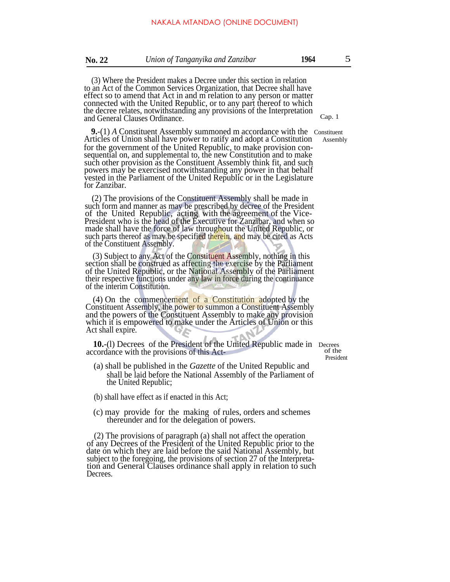| <b>No. 22</b> | Union of Tanganyika and Zanzibar | 1964 |  |
|---------------|----------------------------------|------|--|
|               |                                  |      |  |

(3) Where the President makes a Decree under this section in relation to an Act of the Common Services Organization, that Decree shall have effect so to amend that Act in and m relation to any person or matter connected with the United Republic, or to any part thereof to which the decree relates, notwithstanding any provisions of the Interpretation and General Clauses Ordinance. Cap. 1

**9.**-(1) A Constituent Assembly summoned m accordance with the Constituent Articles of Union shall have power to ratify and adopt a Constitution Assembly for the government of the United Republic, to make provision consequential on, and supplemental to, the new Constitution and to make such other provision as the Constituent Assembly think fit, and such powers may be exercised notwithstanding any power in that behalf vested in the Parliament of the United Republic or in the Legislature for Zanzibar.

(2) The provisions of the Constituent Assembly shall be made in such form and manner as may be prescribed by decree of the President of the United Republic, acting with the agreement of the Vice-President who is the head of the Executive for Zanzibar, and when so made shall have the force of law throughout the United Republic, or such parts thereof as may be specified therein, and may be cited as Acts of the Constituent Assembly.

(3) Subject to any Act of the Constituent Assembly, nothing in this section shall be construed as affecting the exercise by the Parliament of the United Republic, or the National Assembly of the Parliament their respective functions under any law in force during the continuance of the interim Constitution.

(4) On the commencement of a Constitution adopted by the Constituent Assembly, the power to summon a Constituent Assembly and the powers of the Constituent Assembly to make any provision which it is empowered to make under the Articles of Union or this Act shall expire.

**10.**-(1) Decrees of the President of the United Republic made in Decrees or the provisions of this Act accordance with the provisions of this Act-

President

- (a) shall be published in the *Gazette* of the United Republic and shall be laid before the National Assembly of the Parliament of the United Republic;
- (b) shall have effect as if enacted in this Act;
- (c) may provide for the making of rules, orders and schemes thereunder and for the delegation of powers.

(2) The provisions of paragraph (a) shall not affect the operation of any Decrees of the President of the United Republic prior to the date on which they are laid before the said National Assembly, but subject to the foregoing, the provisions of section 27 of the Interpretation and General Clauses ordinance shall apply in relation to such Decrees.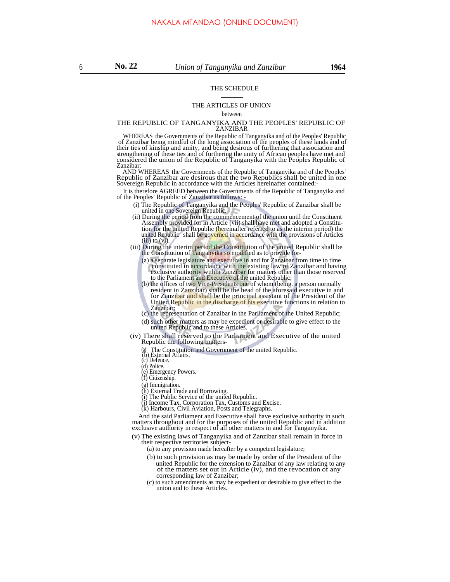## THE SCHEDULE

## THE ARTICLES OF UNION

#### between

### THE REPUBLIC OF TANGANYIKA AND THE PEOPLES' REPUBLIC OF ZANZIBAR

WHEREAS the Governments of the Republic of Tanganyika and of the Peoples' Republic of Zanzibar being mindful of the long association of the peoples of these lands and of their ties of kinship and amity, and being desirous of furthering that association and strengthening of these ties and of furthering the unity of African peoples have met and considered the union of the Republic of Tanganyika with the Peoples Republic of Zanzibar:

AND WHEREAS the Governments of the Republic of Tanganyika and of the Peoples' Republic of Zanzibar are desirous that the two Republics shall be united in one Sovereign Republic in accordance with the Articles hereinafter contained:-

It is therefore AGREED between the Governments of the Republic of Tanganyika and of the Peoples' Republic of Zanzibar as follows:

- (i) The Republic of Tanganyika and the Peoples' Republic of Zanzibar shall be united in one Sovereign Republic.
- (ii) During the period from the commencement of the union until the Constituent Assembly provided for in Article (vii) shall have met and adopted a Constitution for the united Republic (hereinafter referred to as the interim period) the united Republic shall be governed in accordance with the provisions of Articles  $(iii)$  to  $(vi)$ .
- (iii) During the interim period the Constitution of the united Republic shall be the Constitution of Tanganyika so modified as to provide for-
	- (a) a separate legislature and executive in and for Zanzibar from time to time constituted in accordance with the existing law of Zanzibar and having exclusive authority within Zanzibar for matters other than those reserved to the Parliament and Executive of the united Republic;
	- (b) the offices of two Vice-Presidents one of whom (being. a person normally resident in Zanzibar) shall be the head of the aforesaid executive in and<br>for Zanzibar and shall be the principal assistant of the President of the United Republic in the discharge of his executive functions in relation to Zanzibar;
	- (c) the representation of Zanzibar in the Parliament of the United Republic;
	- (d) such other matters as may be expedient or desirable to give effect to the united Republic and to these Articles.
- (iv) There shall reserved to the Parliament and Executive of the united Republic the following matters-
	- (a) The Constitution and Government of the united Republic. (b) External Affairs.
	- (c) Defence.
	- (d) Police.
	- (e) Emergency Powers. (f) Citizenship.
	-
	-
	- (g) Immigration. (h) External Trade and Borrowing.
	- (i) The Public Service of the united Republic.
	- (j) Income Tax, Corporation Tax, Customs and Excise. (k) Harbours, Civil Aviation, Posts and Telegraphs.

And the said Parliament and Executive shall have exclusive authority in such matters throughout and for the purposes of the united Republic and in addition exclusive authority in respect of all other matters in and for Tanganyika.

- (v) The existing laws of Tanganyika and of Zanzibar shall remain in force in their respective territories subject-
	- (a) to any provision made hereafter by a competent legislature;
	- (b) to such provision as may be made by order of the President of the united Republic for the extension to Zanzibar of any law relating to any of the matters set out in Article (iv), and the revocation of any corresponding law of Zanzibar;
	- (c) to such amendments as may be expedient or desirable to give effect to the union and to these Articles.